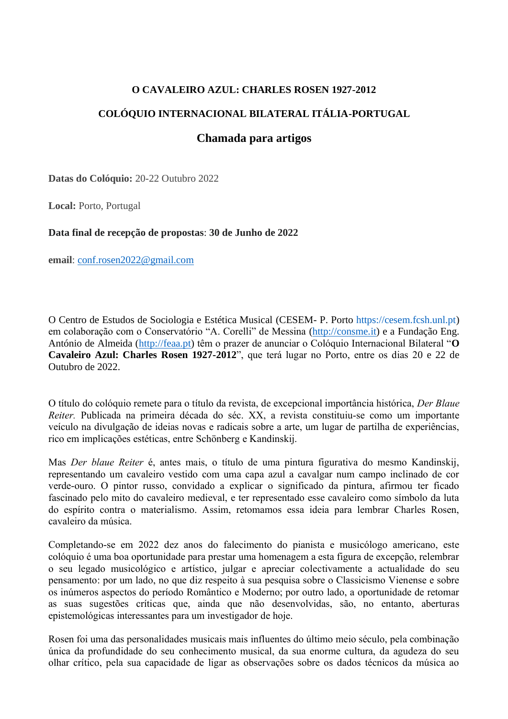# **O CAVALEIRO AZUL: CHARLES ROSEN 1927-2012**

# **COLÓQUIO INTERNACIONAL BILATERAL ITÁLIA-PORTUGAL**

# **Chamada para artigos**

**Datas do Colóquio:** 20-22 Outubro 2022

**Local:** Porto, Portugal

## **Data final de recepção de propostas**: **30 de Junho de 2022**

**email**: [conf.rosen2022@gmail.com](mailto:conf.rosen2022@gmail.com)

O Centro de Estudos de Sociologia e Estética Musical (CESEM- P. Porto https://cesem.fcsh.unl.pt) em colaboração com o Conservatório "A. Corelli" de Messina [\(http://consme.it\)](http://consme.it/) e a Fundação Eng. António de Almeida [\(http://feaa.pt\)](http://feaa.pt/) têm o prazer de anunciar o Colóquio Internacional Bilateral "**O Cavaleiro Azul: Charles Rosen 1927-2012**", que terá lugar no Porto, entre os dias 20 e 22 de Outubro de 2022.

O título do colóquio remete para o título da revista, de excepcional importância histórica, *Der Blaue Reiter.* Publicada na primeira década do séc. XX, a revista constituiu-se como um importante veículo na divulgação de ideias novas e radicais sobre a arte, um lugar de partilha de experiências, rico em implicações estéticas, entre Schönberg e Kandinskij.

Mas *Der blaue Reiter* é, antes mais, o título de uma pintura figurativa do mesmo Kandinskij, representando um cavaleiro vestido com uma capa azul a cavalgar num campo inclinado de cor verde-ouro. O pintor russo, convidado a explicar o significado da pintura, afirmou ter ficado fascinado pelo mito do cavaleiro medieval, e ter representado esse cavaleiro como símbolo da luta do espírito contra o materialismo. Assim, retomamos essa ideia para lembrar Charles Rosen, cavaleiro da música.

Completando-se em 2022 dez anos do falecimento do pianista e musicólogo americano, este colóquio é uma boa oportunidade para prestar uma homenagem a esta figura de excepção, relembrar o seu legado musicológico e artístico, julgar e apreciar colectivamente a actualidade do seu pensamento: por um lado, no que diz respeito à sua pesquisa sobre o Classicismo Vienense e sobre os inúmeros aspectos do período Romântico e Moderno; por outro lado, a oportunidade de retomar as suas sugestões críticas que, ainda que não desenvolvidas, são, no entanto, aberturas epistemológicas interessantes para um investigador de hoje.

Rosen foi uma das personalidades musicais mais influentes do último meio século, pela combinação única da profundidade do seu conhecimento musical, da sua enorme cultura, da agudeza do seu olhar crítico, pela sua capacidade de ligar as observações sobre os dados técnicos da música ao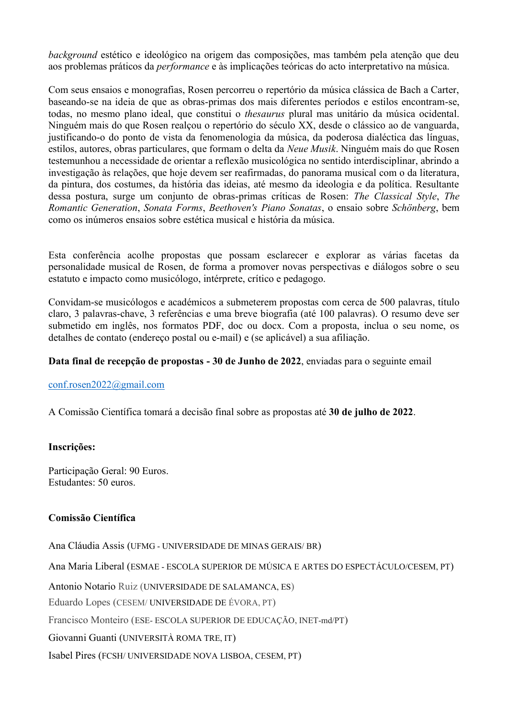*background* estético e ideológico na origem das composições, mas também pela atenção que deu aos problemas práticos da *performance* e às implicações teóricas do acto interpretativo na música.

Com seus ensaios e monografias, Rosen percorreu o repertório da música clássica de Bach a Carter, baseando-se na ideia de que as obras-primas dos mais diferentes períodos e estilos encontram-se, todas, no mesmo plano ideal, que constitui o *thesaurus* plural mas unitário da música ocidental. Ninguém mais do que Rosen realçou o repertório do século XX, desde o clássico ao de vanguarda, justificando-o do ponto de vista da fenomenologia da música, da poderosa dialéctica das línguas, estilos, autores, obras particulares, que formam o delta da *Neue Musik*. Ninguém mais do que Rosen testemunhou a necessidade de orientar a reflexão musicológica no sentido interdisciplinar, abrindo a investigação às relações, que hoje devem ser reafirmadas, do panorama musical com o da literatura, da pintura, dos costumes, da história das ideias, até mesmo da ideologia e da política. Resultante dessa postura, surge um conjunto de obras-primas críticas de Rosen: *The Classical Style*, *The Romantic Generation*, *Sonata Forms*, *Beethoven's Piano Sonatas*, o ensaio sobre *Schönberg*, bem como os inúmeros ensaios sobre estética musical e história da música.

Esta conferência acolhe propostas que possam esclarecer e explorar as várias facetas da personalidade musical de Rosen, de forma a promover novas perspectivas e diálogos sobre o seu estatuto e impacto como musicólogo, intérprete, crítico e pedagogo.

Convidam-se musicólogos e académicos a submeterem propostas com cerca de 500 palavras, título claro, 3 palavras-chave, 3 referências e uma breve biografia (até 100 palavras). O resumo deve ser submetido em inglês, nos formatos PDF, doc ou docx. Com a proposta, inclua o seu nome, os detalhes de contato (endereço postal ou e-mail) e (se aplicável) a sua afiliação.

#### **Data final de recepção de propostas - 30 de Junho de 2022**, enviadas para o seguinte email

#### [conf.rosen2022@gmail.com](mailto:conf.rosen2022@gmail.com)

A Comissão Científica tomará a decisão final sobre as propostas até **30 de julho de 2022**.

#### **Inscrições:**

Participação Geral: 90 Euros. Estudantes: 50 euros.

#### **Comissão Científica**

Ana Cláudia Assis (UFMG - UNIVERSIDADE DE MINAS GERAIS/ BR) Ana Maria Liberal (ESMAE - ESCOLA SUPERIOR DE MÚSICA E ARTES DO ESPECTÁCULO/CESEM, PT) Antonio Notario Ruiz (UNIVERSIDADE DE SALAMANCA, ES) Eduardo Lopes (CESEM/ UNIVERSIDADE DE ÉVORA, PT) Francisco Monteiro (ESE- ESCOLA SUPERIOR DE EDUCAÇÃO, INET-md/PT) Giovanni Guanti (UNIVERSITÀ ROMA TRE, IT) Isabel Pires (FCSH/ UNIVERSIDADE NOVA LISBOA, CESEM, PT)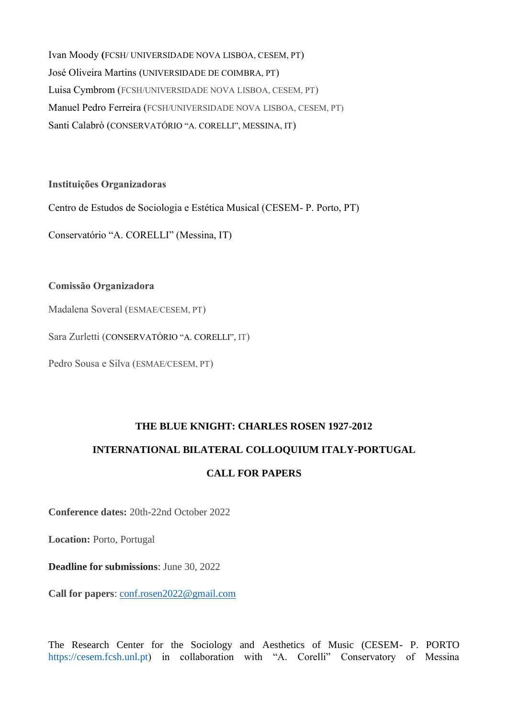Ivan Moody **(**FCSH/ UNIVERSIDADE NOVA LISBOA, CESEM, PT) José Oliveira Martins (UNIVERSIDADE DE COIMBRA, PT) Luisa Cymbrom (FCSH/UNIVERSIDADE NOVA LISBOA, CESEM, PT) Manuel Pedro Ferreira (FCSH/UNIVERSIDADE NOVA LISBOA, CESEM, PT) Santi Calabrò (CONSERVATÓRIO "A. CORELLI", MESSINA, IT)

**Instituições Organizadoras**

Centro de Estudos de Sociologia e Estética Musical (CESEM- P. Porto, PT)

Conservatório "A. CORELLI" (Messina, IT)

## **Comissão Organizadora**

Madalena Soveral (ESMAE/CESEM, PT)

Sara Zurletti (CONSERVATÓRIO "A. CORELLI", IT)

Pedro Sousa e Silva (ESMAE/CESEM, PT)

# **THE BLUE KNIGHT: CHARLES ROSEN 1927-2012**

# **INTERNATIONAL BILATERAL COLLOQUIUM ITALY-PORTUGAL**

# **CALL FOR PAPERS**

**Conference dates:** 20th-22nd October 2022

**Location:** Porto, Portugal

**Deadline for submissions**: June 30, 2022

**Call for papers**: [conf.rosen2022@gmail.com](mailto:conf.rosen2022@gmail.com)

The Research Center for the Sociology and Aesthetics of Music (CESEM- P. PORTO https://cesem.fcsh.unl.pt) in collaboration with "A. Corelli" Conservatory of Messina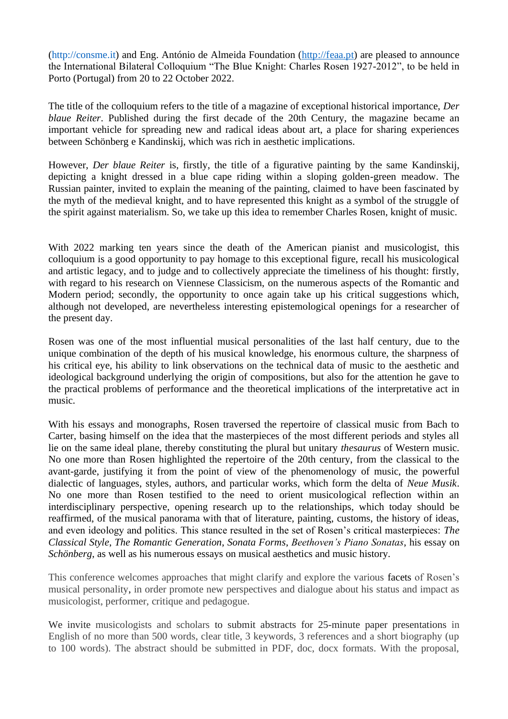(http://consme.it) and Eng. António de Almeida Foundation [\(http://feaa.pt\)](http://feaa.pt/) are pleased to announce the International Bilateral Colloquium "The Blue Knight: Charles Rosen 1927-2012", to be held in Porto (Portugal) from 20 to 22 October 2022.

The title of the colloquium refers to the title of a magazine of exceptional historical importance, *Der blaue Reiter*. Published during the first decade of the 20th Century, the magazine became an important vehicle for spreading new and radical ideas about art, a place for sharing experiences between Schönberg e Kandinskij, which was rich in aesthetic implications.

However, *Der blaue Reiter* is, firstly, the title of a figurative painting by the same Kandinskij, depicting a knight dressed in a blue cape riding within a sloping golden-green meadow. The Russian painter, invited to explain the meaning of the painting, claimed to have been fascinated by the myth of the medieval knight, and to have represented this knight as a symbol of the struggle of the spirit against materialism. So, we take up this idea to remember Charles Rosen, knight of music.

With 2022 marking ten years since the death of the American pianist and musicologist, this colloquium is a good opportunity to pay homage to this exceptional figure, recall his musicological and artistic legacy, and to judge and to collectively appreciate the timeliness of his thought: firstly, with regard to his research on Viennese Classicism, on the numerous aspects of the Romantic and Modern period; secondly, the opportunity to once again take up his critical suggestions which, although not developed, are nevertheless interesting epistemological openings for a researcher of the present day.

Rosen was one of the most influential musical personalities of the last half century, due to the unique combination of the depth of his musical knowledge, his enormous culture, the sharpness of his critical eye, his ability to link observations on the technical data of music to the aesthetic and ideological background underlying the origin of compositions, but also for the attention he gave to the practical problems of performance and the theoretical implications of the interpretative act in music.

With his essays and monographs, Rosen traversed the repertoire of classical music from Bach to Carter, basing himself on the idea that the masterpieces of the most different periods and styles all lie on the same ideal plane, thereby constituting the plural but unitary *thesaurus* of Western music. No one more than Rosen highlighted the repertoire of the 20th century, from the classical to the avant-garde, justifying it from the point of view of the phenomenology of music, the powerful dialectic of languages, styles, authors, and particular works, which form the delta of *Neue Musik*. No one more than Rosen testified to the need to orient musicological reflection within an interdisciplinary perspective, opening research up to the relationships, which today should be reaffirmed, of the musical panorama with that of literature, painting, customs, the history of ideas, and even ideology and politics. This stance resulted in the set of Rosen's critical masterpieces: *The Classical Style*, *The Romantic Generation*, *Sonata Forms*, *Beethoven's Piano Sonatas*, his essay on *Schönberg*, as well as his numerous essays on musical aesthetics and music history.

This conference welcomes approaches that might clarify and explore the various facets of Rosen's musical personality, in order promote new perspectives and dialogue about his status and impact as musicologist, performer, critique and pedagogue.

We invite musicologists and scholars to submit abstracts for 25-minute paper presentations in English of no more than 500 words, clear title, 3 keywords, 3 references and a short biography (up to 100 words). The abstract should be submitted in PDF, doc, docx formats. With the proposal,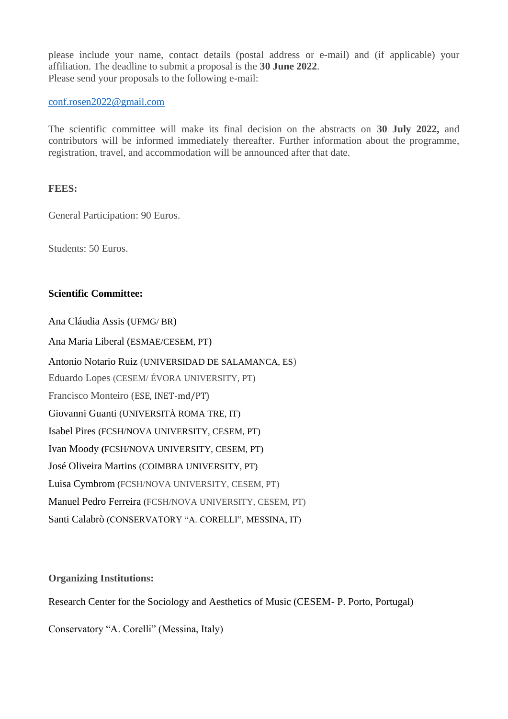please include your name, contact details (postal address or e-mail) and (if applicable) your affiliation. The deadline to submit a proposal is the **30 June 2022**. Please send your proposals to the following e-mail:

[conf.rosen2022@gmail.com](mailto:conf.rosen2022@gmail.com)

The scientific committee will make its final decision on the abstracts on **30 July 2022,** and contributors will be informed immediately thereafter. Further information about the programme, registration, travel, and accommodation will be announced after that date.

#### **FEES:**

General Participation: 90 Euros.

Students: 50 Euros.

#### **Scientific Committee:**

Ana Cláudia Assis (UFMG/ BR) Ana Maria Liberal (ESMAE/CESEM, PT) Antonio Notario Ruiz (UNIVERSIDAD DE SALAMANCA, ES) Eduardo Lopes (CESEM/ ÉVORA UNIVERSITY, PT) Francisco Monteiro (ESE, INET-md/PT) Giovanni Guanti (UNIVERSITÀ ROMA TRE, IT) Isabel Pires (FCSH/NOVA UNIVERSITY, CESEM, PT) Ivan Moody **(**FCSH/NOVA UNIVERSITY, CESEM, PT) José Oliveira Martins (COIMBRA UNIVERSITY, PT) Luisa Cymbrom (FCSH/NOVA UNIVERSITY, CESEM, PT) Manuel Pedro Ferreira (FCSH/NOVA UNIVERSITY, CESEM, PT) Santi Calabrò (CONSERVATORY "A. CORELLI", MESSINA, IT)

## **Organizing Institutions:**

Research Center for the Sociology and Aesthetics of Music (CESEM- P. Porto, Portugal)

Conservatory "A. Corelli" (Messina, Italy)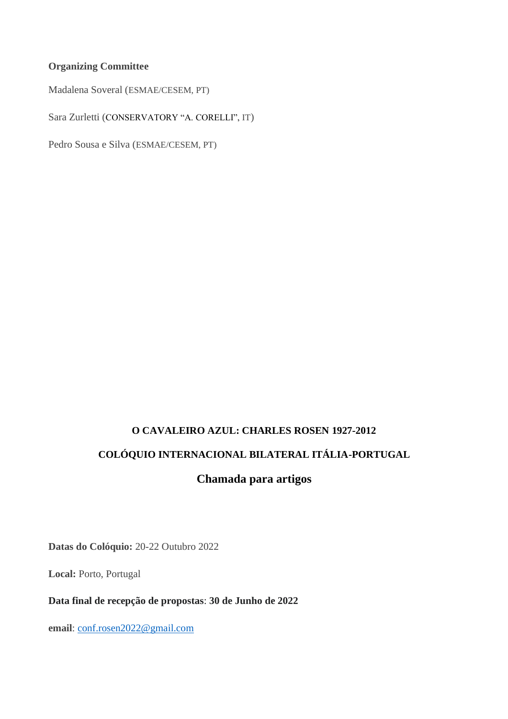# **Organizing Committee**

Madalena Soveral (ESMAE/CESEM, PT)

Sara Zurletti (CONSERVATORY "A. CORELLI", IT)

Pedro Sousa e Silva (ESMAE/CESEM, PT)

# **O CAVALEIRO AZUL: CHARLES ROSEN 1927-2012 COLÓQUIO INTERNACIONAL BILATERAL ITÁLIA-PORTUGAL**

# **Chamada para artigos**

**Datas do Colóquio:** 20-22 Outubro 2022

**Local:** Porto, Portugal

**Data final de recepção de propostas**: **30 de Junho de 2022**

**email**: [conf.rosen2022@gmail.com](mailto:conf.rosen2022@gmail.com)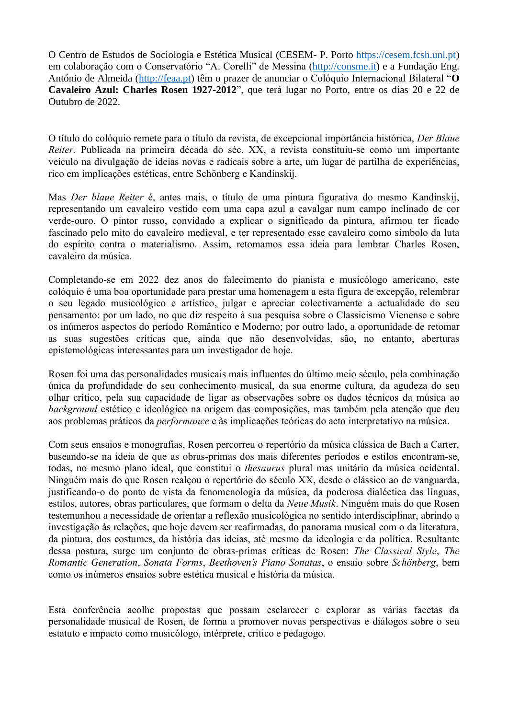O Centro de Estudos de Sociologia e Estética Musical (CESEM- P. Porto https://cesem.fcsh.unl.pt) em colaboração com o Conservatório "A. Corelli" de Messina [\(http://consme.it\)](http://consme.it/) e a Fundação Eng. António de Almeida [\(http://feaa.pt\)](http://feaa.pt/) têm o prazer de anunciar o Colóquio Internacional Bilateral "**O Cavaleiro Azul: Charles Rosen 1927-2012**", que terá lugar no Porto, entre os dias 20 e 22 de Outubro de 2022.

O título do colóquio remete para o título da revista, de excepcional importância histórica, *Der Blaue Reiter.* Publicada na primeira década do séc. XX, a revista constituiu-se como um importante veículo na divulgação de ideias novas e radicais sobre a arte, um lugar de partilha de experiências, rico em implicações estéticas, entre Schönberg e Kandinskij.

Mas *Der blaue Reiter* é, antes mais, o título de uma pintura figurativa do mesmo Kandinskij, representando um cavaleiro vestido com uma capa azul a cavalgar num campo inclinado de cor verde-ouro. O pintor russo, convidado a explicar o significado da pintura, afirmou ter ficado fascinado pelo mito do cavaleiro medieval, e ter representado esse cavaleiro como símbolo da luta do espírito contra o materialismo. Assim, retomamos essa ideia para lembrar Charles Rosen, cavaleiro da música.

Completando-se em 2022 dez anos do falecimento do pianista e musicólogo americano, este colóquio é uma boa oportunidade para prestar uma homenagem a esta figura de excepção, relembrar o seu legado musicológico e artístico, julgar e apreciar colectivamente a actualidade do seu pensamento: por um lado, no que diz respeito à sua pesquisa sobre o Classicismo Vienense e sobre os inúmeros aspectos do período Romântico e Moderno; por outro lado, a oportunidade de retomar as suas sugestões críticas que, ainda que não desenvolvidas, são, no entanto, aberturas epistemológicas interessantes para um investigador de hoje.

Rosen foi uma das personalidades musicais mais influentes do último meio século, pela combinação única da profundidade do seu conhecimento musical, da sua enorme cultura, da agudeza do seu olhar crítico, pela sua capacidade de ligar as observações sobre os dados técnicos da música ao *background* estético e ideológico na origem das composições, mas também pela atenção que deu aos problemas práticos da *performance* e às implicações teóricas do acto interpretativo na música.

Com seus ensaios e monografias, Rosen percorreu o repertório da música clássica de Bach a Carter, baseando-se na ideia de que as obras-primas dos mais diferentes períodos e estilos encontram-se, todas, no mesmo plano ideal, que constitui o *thesaurus* plural mas unitário da música ocidental. Ninguém mais do que Rosen realçou o repertório do século XX, desde o clássico ao de vanguarda, justificando-o do ponto de vista da fenomenologia da música, da poderosa dialéctica das línguas, estilos, autores, obras particulares, que formam o delta da *Neue Musik*. Ninguém mais do que Rosen testemunhou a necessidade de orientar a reflexão musicológica no sentido interdisciplinar, abrindo a investigação às relações, que hoje devem ser reafirmadas, do panorama musical com o da literatura, da pintura, dos costumes, da história das ideias, até mesmo da ideologia e da política. Resultante dessa postura, surge um conjunto de obras-primas críticas de Rosen: *The Classical Style*, *The Romantic Generation*, *Sonata Forms*, *Beethoven's Piano Sonatas*, o ensaio sobre *Schönberg*, bem como os inúmeros ensaios sobre estética musical e história da música.

Esta conferência acolhe propostas que possam esclarecer e explorar as várias facetas da personalidade musical de Rosen, de forma a promover novas perspectivas e diálogos sobre o seu estatuto e impacto como musicólogo, intérprete, crítico e pedagogo.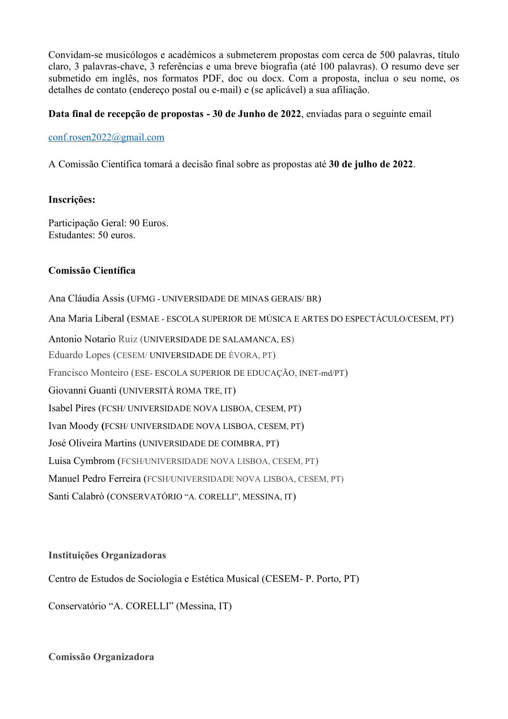Convidam-se musicólogos e académicos a submeterem propostas com cerca de 500 palavras, título claro, 3 palavras-chave, 3 referências e uma breve biografia (até 100 palavras). O resumo deve ser submetido em inglês, nos formatos PDF, doc ou docx. Com a proposta, inclua o seu nome, os detalhes de contato (endereço postal ou e-mail) e (se aplicável) a sua afiliação.

## **Data final de recepção de propostas - 30 de Junho de 2022**, enviadas para o seguinte email

### [conf.rosen2022@gmail.com](mailto:conf.rosen2022@gmail.com)

A Comissão Científica tomará a decisão final sobre as propostas até **30 de julho de 2022**.

## **Inscrições:**

Participação Geral: 90 Euros. Estudantes: 50 euros.

# **Comissão Científica**

Ana Cláudia Assis (UFMG - UNIVERSIDADE DE MINAS GERAIS/ BR) Ana Maria Liberal (ESMAE - ESCOLA SUPERIOR DE MÚSICA E ARTES DO ESPECTÁCULO/CESEM, PT) Antonio Notario Ruiz (UNIVERSIDADE DE SALAMANCA, ES) Eduardo Lopes (CESEM/ UNIVERSIDADE DE ÉVORA, PT) Francisco Monteiro (ESE- ESCOLA SUPERIOR DE EDUCAÇÃO, INET-md/PT) Giovanni Guanti (UNIVERSITÀ ROMA TRE, IT) Isabel Pires (FCSH/ UNIVERSIDADE NOVA LISBOA, CESEM, PT) Ivan Moody **(**FCSH/ UNIVERSIDADE NOVA LISBOA, CESEM, PT) José Oliveira Martins (UNIVERSIDADE DE COIMBRA, PT) Luisa Cymbrom (FCSH/UNIVERSIDADE NOVA LISBOA, CESEM, PT) Manuel Pedro Ferreira (FCSH/UNIVERSIDADE NOVA LISBOA, CESEM, PT) Santi Calabrò (CONSERVATÓRIO "A. CORELLI", MESSINA, IT)

# **Instituições Organizadoras**

Centro de Estudos de Sociologia e Estética Musical (CESEM- P. Porto, PT)

Conservatório "A. CORELLI" (Messina, IT)

**Comissão Organizadora**